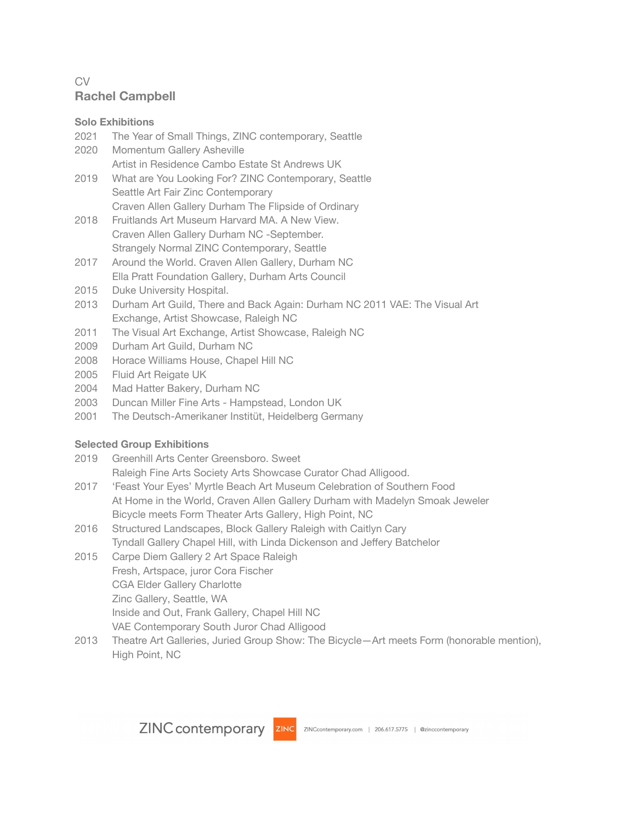# CV **Rachel Campbell**

# **Solo Exhibitions**

- 2021 The Year of Small Things, ZINC contemporary, Seattle
- 2020 Momentum Gallery Asheville Artist in Residence Cambo Estate St Andrews UK
- 2019 What are You Looking For? ZINC Contemporary, Seattle Seattle Art Fair Zinc Contemporary Craven Allen Gallery Durham The Flipside of Ordinary
- 2018 Fruitlands Art Museum Harvard MA. A New View. Craven Allen Gallery Durham NC -September. Strangely Normal ZINC Contemporary, Seattle
- 2017 Around the World. Craven Allen Gallery, Durham NC Ella Pratt Foundation Gallery, Durham Arts Council
- 2015 Duke University Hospital.
- 2013 Durham Art Guild, There and Back Again: Durham NC 2011 VAE: The Visual Art Exchange, Artist Showcase, Raleigh NC
- 2011 The Visual Art Exchange, Artist Showcase, Raleigh NC
- 2009 Durham Art Guild, Durham NC
- 2008 Horace Williams House, Chapel Hill NC
- 2005 Fluid Art Reigate UK
- 2004 Mad Hatter Bakery, Durham NC
- 2003 Duncan Miller Fine Arts Hampstead, London UK
- 2001 The Deutsch-Amerikaner Institüt, Heidelberg Germany

# **Selected Group Exhibitions**

- 2019 Greenhill Arts Center Greensboro. Sweet
	- Raleigh Fine Arts Society Arts Showcase Curator Chad Alligood.
- 2017 'Feast Your Eyes' Myrtle Beach Art Museum Celebration of Southern Food At Home in the World, Craven Allen Gallery Durham with Madelyn Smoak Jeweler Bicycle meets Form Theater Arts Gallery, High Point, NC
- 2016 Structured Landscapes, Block Gallery Raleigh with Caitlyn Cary Tyndall Gallery Chapel Hill, with Linda Dickenson and Jeffery Batchelor
- 2015 Carpe Diem Gallery 2 Art Space Raleigh Fresh, Artspace, juror Cora Fischer CGA Elder Gallery Charlotte Zinc Gallery, Seattle, WA Inside and Out, Frank Gallery, Chapel Hill NC VAE Contemporary South Juror Chad Alligood
- 2013 Theatre Art Galleries, Juried Group Show: The Bicycle—Art meets Form (honorable mention), High Point, NC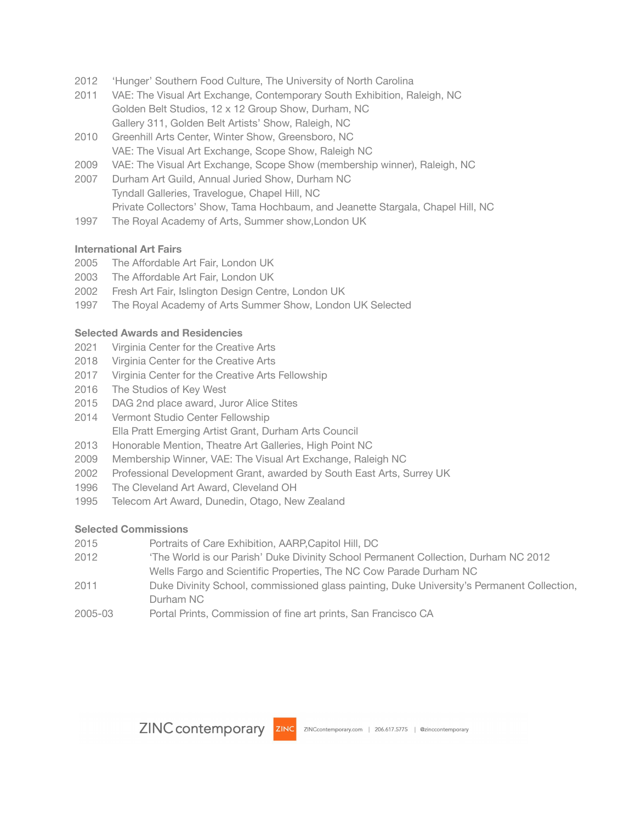- 'Hunger' Southern Food Culture, The University of North Carolina
- VAE: The Visual Art Exchange, Contemporary South Exhibition, Raleigh, NC Golden Belt Studios, 12 x 12 Group Show, Durham, NC Gallery 311, Golden Belt Artists' Show, Raleigh, NC
- Greenhill Arts Center, Winter Show, Greensboro, NC VAE: The Visual Art Exchange, Scope Show, Raleigh NC
- VAE: The Visual Art Exchange, Scope Show (membership winner), Raleigh, NC
- Durham Art Guild, Annual Juried Show, Durham NC Tyndall Galleries, Travelogue, Chapel Hill, NC Private Collectors' Show, Tama Hochbaum, and Jeanette Stargala, Chapel Hill, NC
- The Royal Academy of Arts, Summer show,London UK

## **International Art Fairs**

- The Affordable Art Fair, London UK
- The Affordable Art Fair, London UK
- Fresh Art Fair, Islington Design Centre, London UK
- The Royal Academy of Arts Summer Show, London UK Selected

## **Selected Awards and Residencies**

- Virginia Center for the Creative Arts
- Virginia Center for the Creative Arts
- Virginia Center for the Creative Arts Fellowship
- The Studios of Key West
- DAG 2nd place award, Juror Alice Stites
- Vermont Studio Center Fellowship Ella Pratt Emerging Artist Grant, Durham Arts Council
- Honorable Mention, Theatre Art Galleries, High Point NC
- Membership Winner, VAE: The Visual Art Exchange, Raleigh NC
- Professional Development Grant, awarded by South East Arts, Surrey UK
- The Cleveland Art Award, Cleveland OH
- Telecom Art Award, Dunedin, Otago, New Zealand

#### **Selected Commissions**

- Portraits of Care Exhibition, AARP,Capitol Hill, DC
- 'The World is our Parish' Duke Divinity School Permanent Collection, Durham NC 2012 Wells Fargo and Scientific Properties, The NC Cow Parade Durham NC
- Duke Divinity School, commissioned glass painting, Duke University's Permanent Collection, Durham NC
- 2005-03 Portal Prints, Commission of fine art prints, San Francisco CA